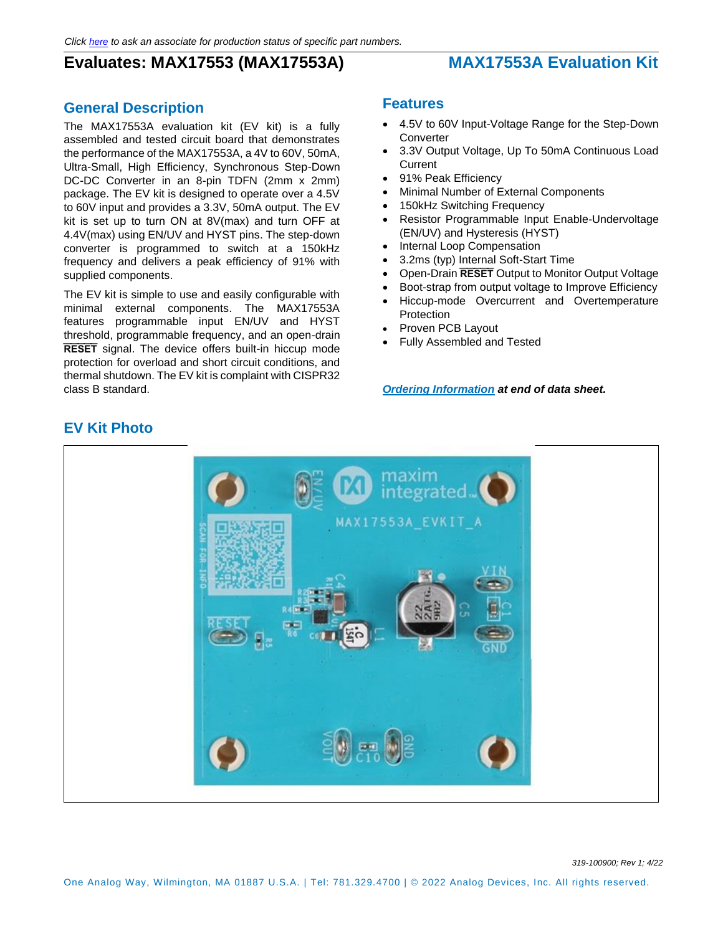# **Evaluates: MAX17553 (MAX17553A) MAX17553A Evaluation Kit**

#### **General Description**

The MAX17553A evaluation kit (EV kit) is a fully assembled and tested circuit board that demonstrates the performance of the MAX17553A, a 4V to 60V, 50mA, Ultra-Small, High Efficiency, Synchronous Step-Down DC-DC Converter in an 8-pin TDFN (2mm x 2mm) package. The EV kit is designed to operate over a 4.5V to 60V input and provides a 3.3V, 50mA output. The EV kit is set up to turn ON at 8V(max) and turn OFF at 4.4V(max) using EN/UV and HYST pins. The step-down converter is programmed to switch at a 150kHz frequency and delivers a peak efficiency of 91% with supplied components.

The EV kit is simple to use and easily configurable with minimal external components. The MAX17553A features programmable input EN/UV and HYST threshold, programmable frequency, and an open-drain **RESET** signal. The device offers built-in hiccup mode protection for overload and short circuit conditions, and thermal shutdown. The EV kit is complaint with CISPR32 class B standard.

#### **Features**

- 4.5V to 60V Input-Voltage Range for the Step-Down **Converter**
- 3.3V Output Voltage, Up To 50mA Continuous Load Current
- 91% Peak Efficiency
- Minimal Number of External Components
- 150kHz Switching Frequency
- Resistor Programmable Input Enable-Undervoltage (EN/UV) and Hysteresis (HYST)
- Internal Loop Compensation
- 3.2ms (typ) Internal Soft-Start Time
- Open-Drain **RESET** Output to Monitor Output Voltage
- Boot-strap from output voltage to Improve Efficiency
- Hiccup-mode Overcurrent and Overtemperature **Protection**
- Proven PCB Layout
- Fully Assembled and Tested

*[Ordering Information](#page-7-0) at end of data sheet.*



#### **EV Kit Photo**

*319-100900; Rev 1; 4/22*

One Analog Way, Wilmington, MA 01887 U.S.A. | Tel: 781.329.4700 | © 2022 Analog Devices, Inc. All rights reserved.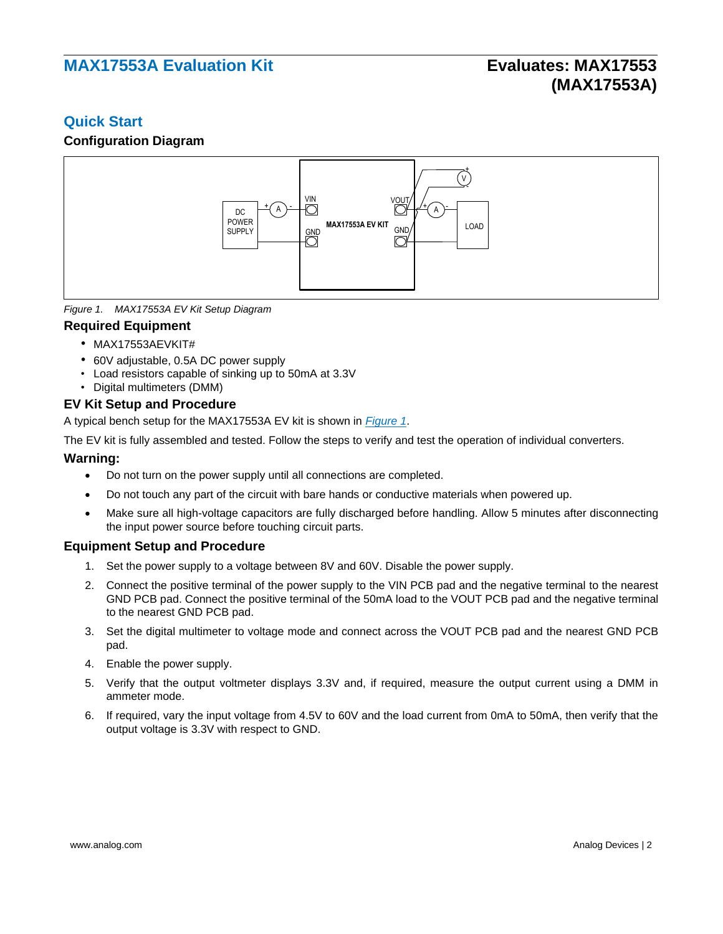#### **Quick Start**

#### **Configuration Diagram**



<span id="page-1-0"></span>*Figure 1. MAX17553A EV Kit Setup Diagram*

#### **Required Equipment**

- MAX17553AEVKIT#
- 60V adjustable, 0.5A DC power supply
- Load resistors capable of sinking up to 50mA at 3.3V
- Digital multimeters (DMM)

#### **EV Kit Setup and Procedure**

A typical bench setup for the MAX17553A EV kit is shown in *[Figure 1](#page-1-0)*.

The EV kit is fully assembled and tested. Follow the steps to verify and test the operation of individual converters.

#### **Warning:**

- Do not turn on the power supply until all connections are completed.
- Do not touch any part of the circuit with bare hands or conductive materials when powered up.
- Make sure all high-voltage capacitors are fully discharged before handling. Allow 5 minutes after disconnecting the input power source before touching circuit parts.

#### **Equipment Setup and Procedure**

- 1. Set the power supply to a voltage between 8V and 60V. Disable the power supply.
- 2. Connect the positive terminal of the power supply to the VIN PCB pad and the negative terminal to the nearest GND PCB pad. Connect the positive terminal of the 50mA load to the VOUT PCB pad and the negative terminal to the nearest GND PCB pad.
- 3. Set the digital multimeter to voltage mode and connect across the VOUT PCB pad and the nearest GND PCB pad.
- 4. Enable the power supply.
- 5. Verify that the output voltmeter displays 3.3V and, if required, measure the output current using a DMM in ammeter mode.
- 6. If required, vary the input voltage from 4.5V to 60V and the load current from 0mA to 50mA, then verify that the output voltage is 3.3V with respect to GND.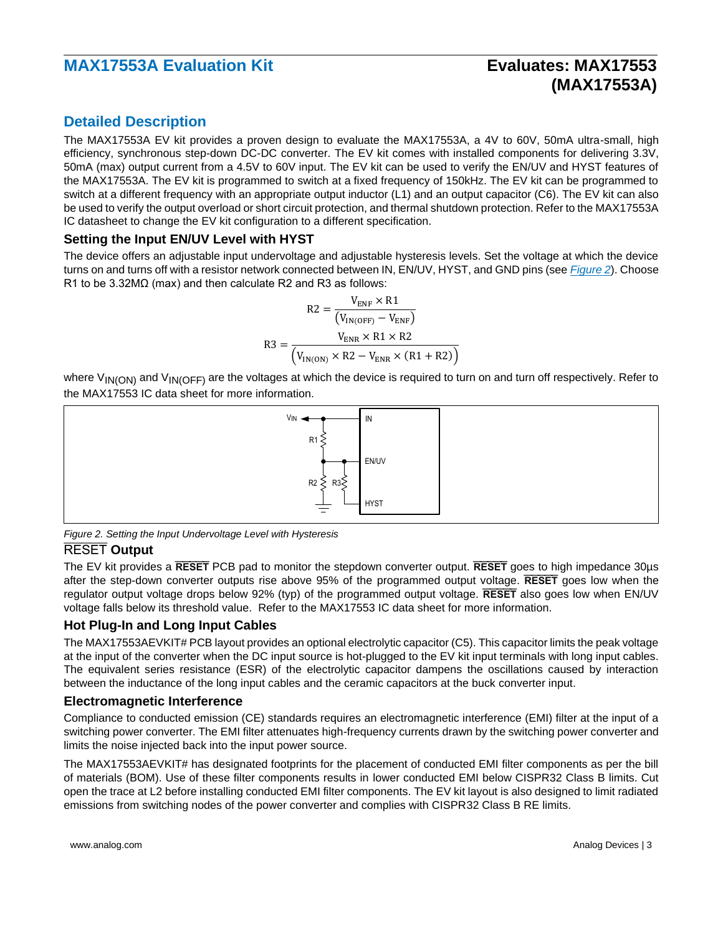# **(MAX17553A)**

#### **Detailed Description**

The MAX17553A EV kit provides a proven design to evaluate the MAX17553A, a 4V to 60V, 50mA ultra-small, high efficiency, synchronous step-down DC-DC converter. The EV kit comes with installed components for delivering 3.3V, 50mA (max) output current from a 4.5V to 60V input. The EV kit can be used to verify the EN/UV and HYST features of the MAX17553A. The EV kit is programmed to switch at a fixed frequency of 150kHz. The EV kit can be programmed to switch at a different frequency with an appropriate output inductor (L1) and an output capacitor (C6). The EV kit can also be used to verify the output overload or short circuit protection, and thermal shutdown protection. Refer to the MAX17553A IC datasheet to change the EV kit configuration to a different specification.

#### **Setting the Input EN/UV Level with HYST**

The device offers an adjustable input undervoltage and adjustable hysteresis levels. Set the voltage at which the device turns on and turns off with a resistor network connected between IN, EN/UV, HYST, and GND pins (see *[Figure 2](#page-2-0)*). Choose R1 to be 3.32MΩ (max) and then calculate R2 and R3 as follows:

$$
R2 = \frac{V_{\text{ENF}} \times R1}{(V_{\text{IN(OFF)}} - V_{\text{ENF}})}
$$

$$
R3 = \frac{V_{\text{ENR}} \times R1 \times R2}{(V_{\text{IN(ON)}} \times R2 - V_{\text{ENR}} \times (R1 + R2))}
$$

where V<sub>IN(ON)</sub> and V<sub>IN(OFF)</sub> are the voltages at which the device is required to turn on and turn off respectively. Refer to the MAX17553 IC data sheet for more information.



<span id="page-2-0"></span>*Figure 2. Setting the Input Undervoltage Level with Hysteresis*

#### RESET **Output**

The EV kit provides a **RESET** PCB pad to monitor the stepdown converter output. **RESET** goes to high impedance 30µs after the step-down converter outputs rise above 95% of the programmed output voltage. **RESET** goes low when the regulator output voltage drops below 92% (typ) of the programmed output voltage. **RESET** also goes low when EN/UV voltage falls below its threshold value. Refer to the MAX17553 IC data sheet for more information.

#### **Hot Plug-In and Long Input Cables**

The MAX17553AEVKIT# PCB layout provides an optional electrolytic capacitor (C5). This capacitor limits the peak voltage at the input of the converter when the DC input source is hot-plugged to the EV kit input terminals with long input cables. The equivalent series resistance (ESR) of the electrolytic capacitor dampens the oscillations caused by interaction between the inductance of the long input cables and the ceramic capacitors at the buck converter input.

#### **Electromagnetic Interference**

Compliance to conducted emission (CE) standards requires an electromagnetic interference (EMI) filter at the input of a switching power converter. The EMI filter attenuates high-frequency currents drawn by the switching power converter and limits the noise injected back into the input power source.

The MAX17553AEVKIT# has designated footprints for the placement of conducted EMI filter components as per the bill of materials (BOM). Use of these filter components results in lower conducted EMI below CISPR32 Class B limits. Cut open the trace at L2 before installing conducted EMI filter components. The EV kit layout is also designed to limit radiated emissions from switching nodes of the power converter and complies with CISPR32 Class B RE limits.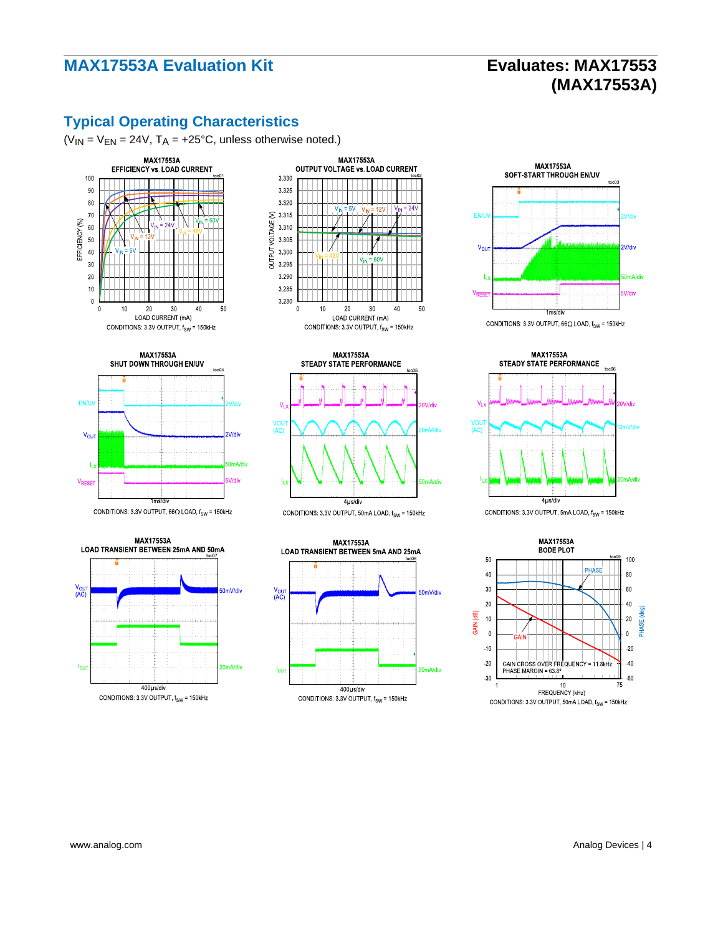# **(MAX17553A)**

## **Typical Operating Characteristics**

 $(V_{IN} = V_{EN} = 24V, T_A = +25°C,$  unless otherwise noted.)





CONDITIONS: 3.3V OUTPUT,  $66\Omega$  LOAD,  $f_{SW}$  = 150kHz







CONDITIONS: 3.3V OUTPUT, 50mA LOAD,  $f_{SW}$  = 150kHz









**MAX17553A BODE PLOT** 50 100 PHASE 40 80  $30$ 60  $20$  $40$ pHASE (deg) GAIN (dB)  $10$  $20\,$  $\overline{0}$  $\mathbf{a}$  $-10$  $-20$  $\overline{20}$  $-40$ GAIN CROSS OVER FREQUENCY = 11.8kHz<br>PHASE MARGIN = 63.8°  $-30$  $-60$ 75 FREQUENCY (kHz)

CONDITIONS: 3.3V OUTPUT, 50mA LOAD, f<sub>SW</sub> = 150kHz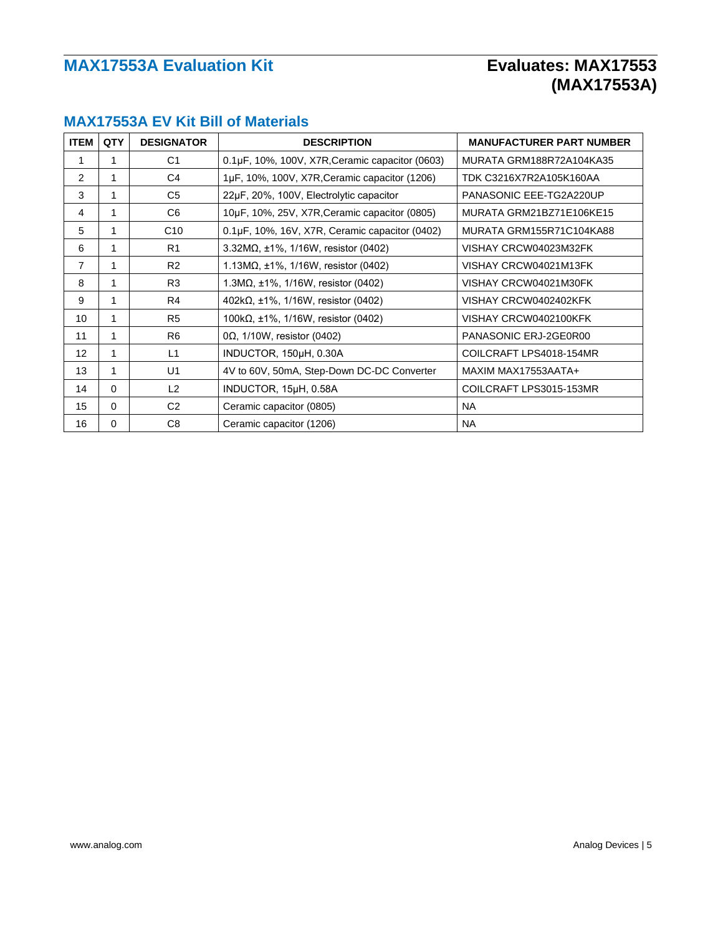| <b>ITEM</b>     | <b>QTY</b> | <b>DESIGNATOR</b> | <b>DESCRIPTION</b>                                  | <b>MANUFACTURER PART NUMBER</b> |
|-----------------|------------|-------------------|-----------------------------------------------------|---------------------------------|
| 1               |            | C1                | 0.1µF, 10%, 100V, X7R, Ceramic capacitor (0603)     | MURATA GRM188R72A104KA35        |
| 2               | 1          | C <sub>4</sub>    | 1µF, 10%, 100V, X7R, Ceramic capacitor (1206)       | TDK C3216X7R2A105K160AA         |
| 3               | 1          | C <sub>5</sub>    | 22µF, 20%, 100V, Electrolytic capacitor             | PANASONIC EEE-TG2A220UP         |
| 4               |            | C6                | 10µF, 10%, 25V, X7R, Ceramic capacitor (0805)       | MURATA GRM21BZ71E106KE15        |
| 5               |            | C10               | $0.1\mu$ F, 10%, 16V, X7R, Ceramic capacitor (0402) | MURATA GRM155R71C104KA88        |
| 6               | 1          | R1                | $3.32M\Omega$ , ±1%, 1/16W, resistor (0402)         | VISHAY CRCW04023M32FK           |
| 7               |            | R <sub>2</sub>    | $1.13\text{M}\Omega$ , ±1%, 1/16W, resistor (0402)  | VISHAY CRCW04021M13FK           |
| 8               | 1          | R <sub>3</sub>    | 1.3M $\Omega$ , ±1%, 1/16W, resistor (0402)         | VISHAY CRCW04021M30FK           |
| 9               | 1          | R4                | $402k\Omega$ , ±1%, 1/16W, resistor (0402)          | VISHAY CRCW0402402KFK           |
| 10              | 1          | R <sub>5</sub>    | 100k $\Omega$ , ±1%, 1/16W, resistor (0402)         | VISHAY CRCW0402100KFK           |
| 11              | 1          | R <sub>6</sub>    | $0\Omega$ , 1/10W, resistor (0402)                  | PANASONIC ERJ-2GE0R00           |
| 12 <sup>2</sup> | 1          | L1                | INDUCTOR, 150µH, 0.30A                              | COILCRAFT LPS4018-154MR         |
| 13              | 1          | U1                | 4V to 60V, 50mA, Step-Down DC-DC Converter          | MAXIM MAX17553AATA+             |
| 14              | $\Omega$   | L2                | INDUCTOR, 15µH, 0.58A                               | COILCRAFT LPS3015-153MR         |
| 15              | 0          | C <sub>2</sub>    | Ceramic capacitor (0805)                            | <b>NA</b>                       |
| 16              | 0          | C8                | Ceramic capacitor (1206)                            | NA.                             |

### **MAX17553A EV Kit Bill of Materials**

# **(MAX17553A)**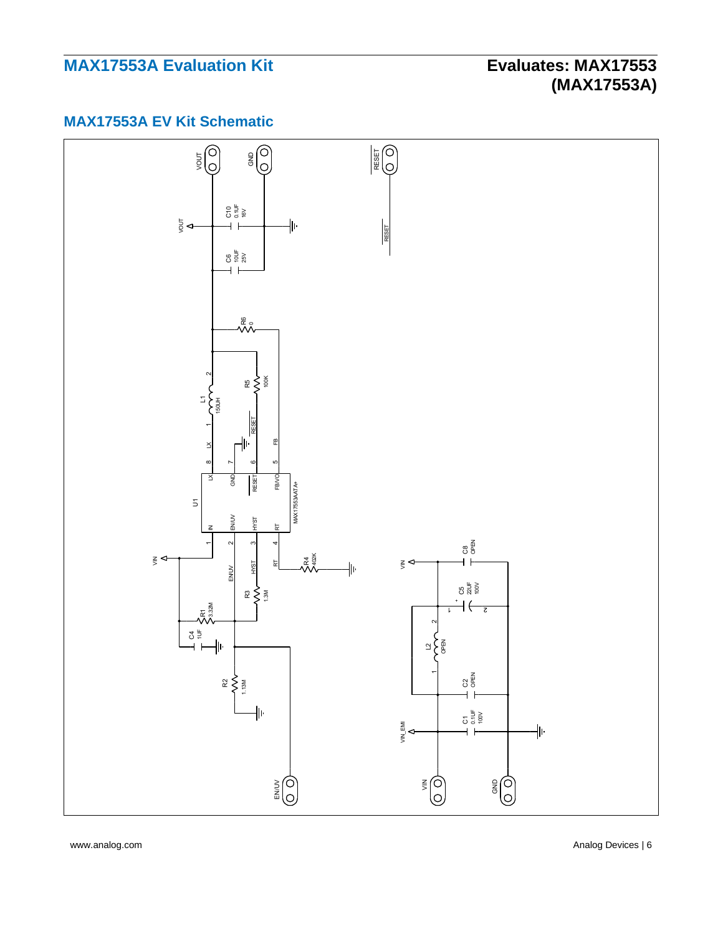# **(MAX17553A)**

### **MAX17553A EV Kit Schematic**



www.analog.com **Analog Devices** | 6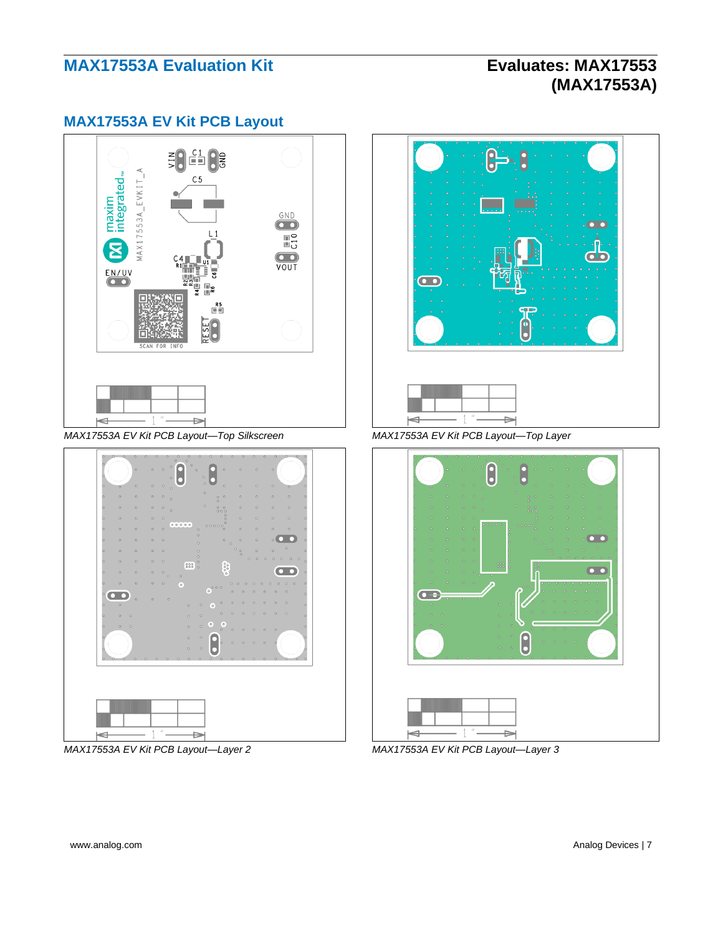# **(MAX17553A)**

#### **MAX17553A EV Kit PCB Layout**



*MAX17553A EV Kit PCB Layout—Top Silkscreen MAX17553A EV Kit PCB Layout—Top Layer*



*MAX17553A EV Kit PCB Layout—Layer 2 MAX17553A EV Kit PCB Layout—Layer 3*



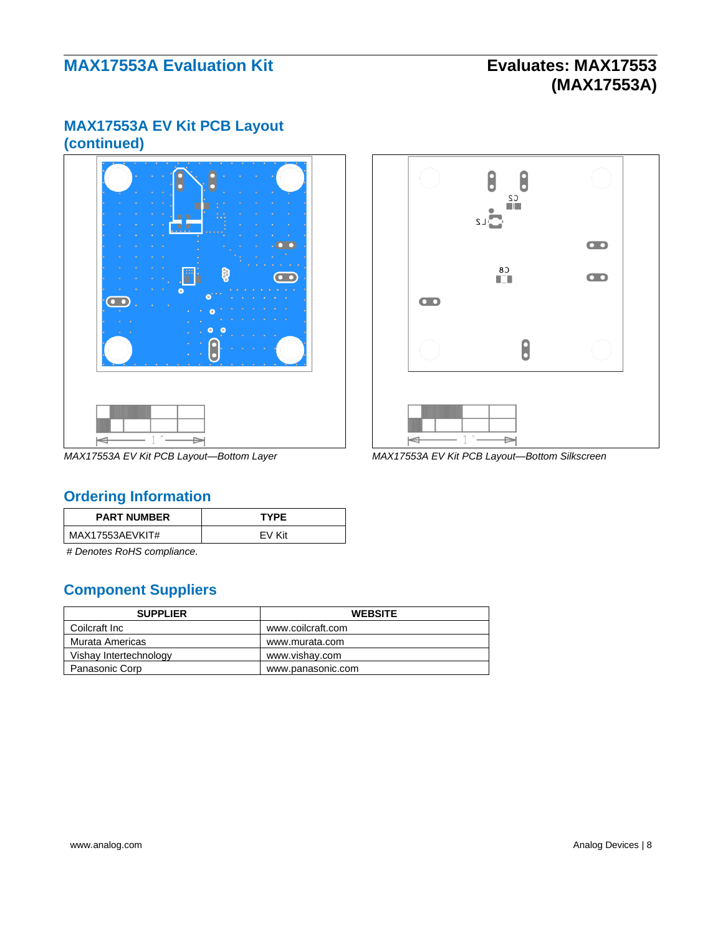# **(MAX17553A)**

### **MAX17553A EV Kit PCB Layout (continued)**





*MAX17553A EV Kit PCB Layout—Bottom Layer MAX17553A EV Kit PCB Layout—Bottom Silkscreen*

### <span id="page-7-0"></span>**Ordering Information**

| <b>PART NUMBER</b> | <b>TYPF</b> |
|--------------------|-------------|
| MAX17553AEVKIT#    | FV Kit      |

*# Denotes RoHS compliance.*

### **Component Suppliers**

| <b>SUPPLIER</b>        | <b>WEBSITE</b>    |
|------------------------|-------------------|
| Coilcraft Inc          | www.coilcraft.com |
| Murata Americas        | www.murata.com    |
| Vishay Intertechnology | www.vishav.com    |
| Panasonic Corp         | www.panasonic.com |